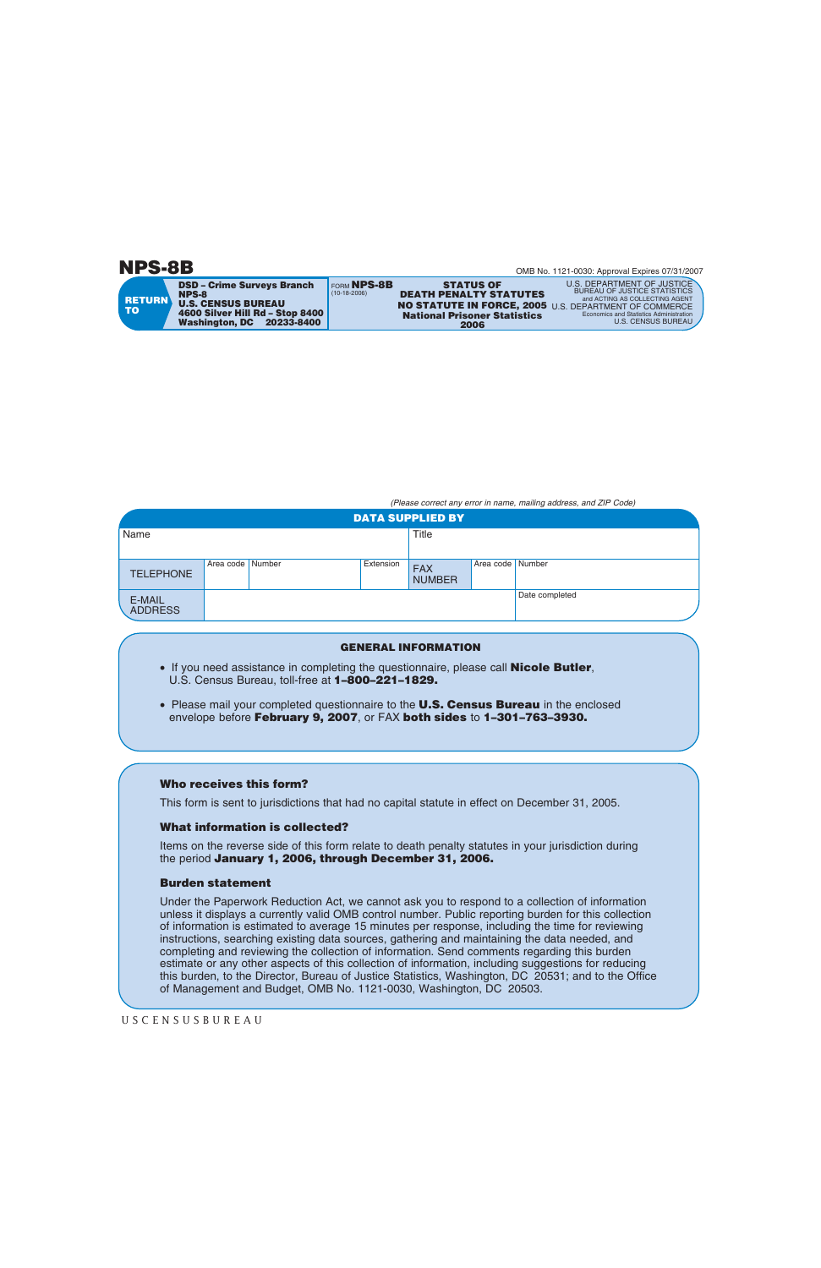**NPS-8B**

**TO**

**RETURN** FORM **NPS-8B** (10-18-2006) **DSD – Crime Surveys Branch NPS-8 U.S. CENSUS BUREAU 4600 Silver Hill Rd – Stop 8400 Washington, DC 20233-8400**

**DEATH PENALTY STATUTES 2006 National Prisoner Statistics**

**STATUS OF**

**NO STATUTE IN FORCE, 2005** U.S. DEPARTMENT OF COMMERCE U.S. DEPARTMENT OF JUSTICE BUREAU OF JUSTICE STATISTICS and ACTING AS COLLECTING AGENT Economics and Statistics Administration U.S. CENSUS BUREAU

*(Please correct any error in name, mailing address, and ZIP Code)*

| <b>DATA SUPPLIED BY</b>  |                    |  |           |                             |                  |                |
|--------------------------|--------------------|--|-----------|-----------------------------|------------------|----------------|
| Name                     |                    |  |           | Title                       |                  |                |
| <b>TELEPHONE</b>         | Area code   Number |  | Extension | <b>FAX</b><br><b>NUMBER</b> | Area code Number |                |
| E-MAIL<br><b>ADDRESS</b> |                    |  |           |                             |                  | Date completed |

## **GENERAL INFORMATION**

- If you need assistance in completing the questionnaire, please call **Nicole Butler**, U.S. Census Bureau, toll-free at **1–800–221–1829.**
- Please mail your completed questionnaire to the **U.S. Census Bureau** in the enclosed envelope before **February 9, 2007**, or FAX **both sides** to **1–301–763–3930.**

## **Who receives this form?**

This form is sent to jurisdictions that had no capital statute in effect on December 31, 2005.

## **What information is collected?**

Items on the reverse side of this form relate to death penalty statutes in your jurisdiction during the period **January 1, 2006, through December 31, 2006.**

## **Burden statement**

Under the Paperwork Reduction Act, we cannot ask you to respond to a collection of information unless it displays a currently valid OMB control number. Public reporting burden for this collection of information is estimated to average 15 minutes per response, including the time for reviewing instructions, searching existing data sources, gathering and maintaining the data needed, and completing and reviewing the collection of information. Send comments regarding this burden estimate or any other aspects of this collection of information, including suggestions for reducing this burden, to the Director, Bureau of Justice Statistics, Washington, DC 20531; and to the Office of Management and Budget, OMB No. 1121-0030, Washington, DC 20503.